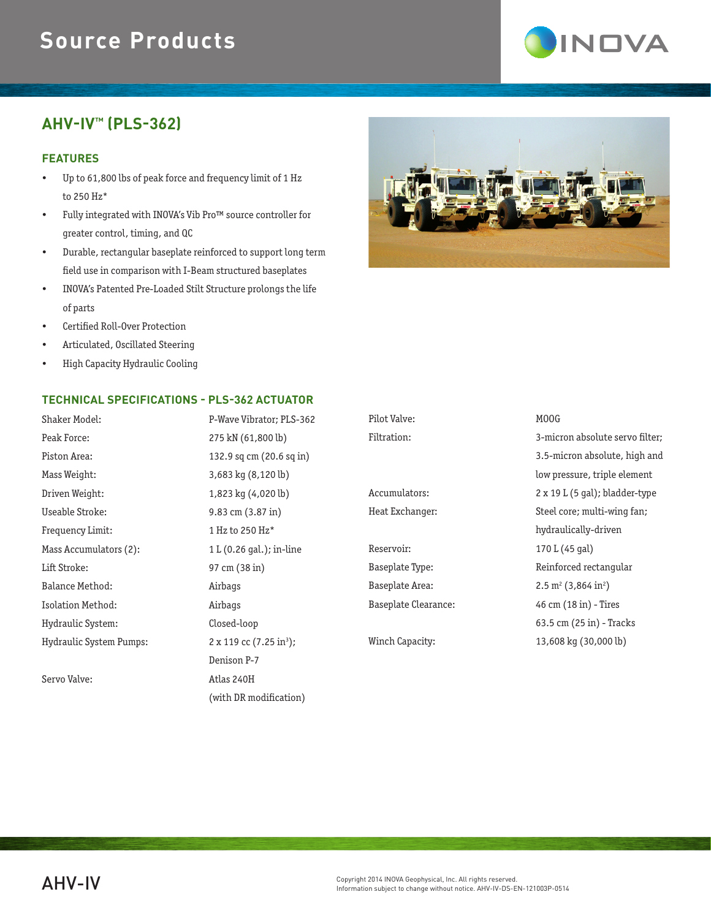## **Source Products**

# **INDVA**

### **AHV-IV™ (PLS-362)**

#### **FEATURES**

- Up to 61,800 lbs of peak force and frequency limit of 1 Hz to 250 Hz\*
- Fully integrated with INOVA's Vib Pro™ source controller for greater control, timing, and QC
- Durable, rectangular baseplate reinforced to support long term field use in comparison with I-Beam structured baseplates
- INOVA's Patented Pre-Loaded Stilt Structure prolongs the life of parts
- Certified Roll-Over Protection
- Articulated, Oscillated Steering
- High Capacity Hydraulic Cooling

#### **TECHNICAL SPECIFICATIONS - PLS-362 ACTUATOR**

| Shaker Model:                | P-Wave Vibrator; PLS-362                  |  |
|------------------------------|-------------------------------------------|--|
| Peak Force:                  | 275 kN (61,800 lb)                        |  |
| Piston Area:                 | 132.9 sq cm (20.6 sq in)                  |  |
| Mass Weight:                 | 3,683 kg (8,120 lb)                       |  |
| Driven Weight:               | 1,823 kg (4,020 lb)                       |  |
| Useable Stroke:              | $9.83$ cm $(3.87 \text{ in})$             |  |
| Frequency Limit:             | 1 Hz to 250 Hz*                           |  |
| Mass Accumulators (2):       | 1 L (0.26 gal.); in-line                  |  |
| Lift Stroke:                 | 97 cm (38 in)                             |  |
| Balance Method:              | Airbags                                   |  |
| Isolation Method:<br>Airbags |                                           |  |
| Hydraulic System:            | Closed-loop                               |  |
| Hydraulic System Pumps:      | $2 \times 119$ cc $(7.25 \text{ in}^3)$ ; |  |
|                              | Denison P-7                               |  |
| Servo Valve:                 | Atlas 240H                                |  |
|                              | (with DR modification)                    |  |



| Pilot Valve:         | MOOG                                       |  |
|----------------------|--------------------------------------------|--|
| Filtration:          | 3-micron absolute servo filter:            |  |
|                      | 3.5-micron absolute, high and              |  |
|                      | low pressure, triple element               |  |
| Accumulators:        | $2 \times 19$ L (5 gal); bladder-type      |  |
| Heat Exchanger:      | Steel core; multi-wing fan;                |  |
|                      | hydraulically-driven                       |  |
| Reservoir:           | 170 L (45 gal)                             |  |
| Baseplate Type:      | Reinforced rectangular                     |  |
| Baseplate Area:      | $2.5 \text{ m}^2$ (3,864 in <sup>2</sup> ) |  |
| Baseplate Clearance: | 46 cm (18 in) - Tires                      |  |
|                      |                                            |  |

 3.5-micron absolute, high and low pressure, triple element hydraulically-driven 63.5 cm (25 in) - Tracks Winch Capacity: 13,608 kg (30,000 lb)